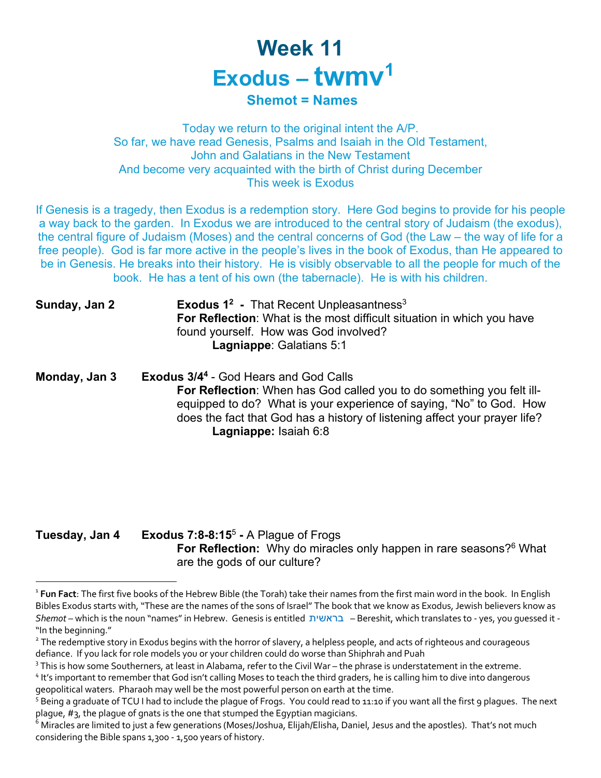## **Week 11 Exodus – twmv1**

## **Shemot = Names**

Today we return to the original intent the A/P. So far, we have read Genesis, Psalms and Isaiah in the Old Testament, John and Galatians in the New Testament And become very acquainted with the birth of Christ during December This week is Exodus

If Genesis is a tragedy, then Exodus is a redemption story. Here God begins to provide for his people a way back to the garden. In Exodus we are introduced to the central story of Judaism (the exodus), the central figure of Judaism (Moses) and the central concerns of God (the Law – the way of life for a free people). God is far more active in the people's lives in the book of Exodus, than He appeared to be in Genesis. He breaks into their history. He is visibly observable to all the people for much of the book. He has a tent of his own (the tabernacle). He is with his children.

| Sunday, Jan 2 | <b>Exodus 1<sup>2</sup></b> - That Recent Unpleasantness <sup>3</sup>         |
|---------------|-------------------------------------------------------------------------------|
|               | <b>For Reflection:</b> What is the most difficult situation in which you have |
|               | found yourself. How was God involved?                                         |
|               | <b>Lagniappe: Galatians 5:1</b>                                               |

**Monday, Jan 3 Exodus 3/44** - God Hears and God Calls **For Reflection**: When has God called you to do something you felt illequipped to do? What is your experience of saying, "No" to God. How does the fact that God has a history of listening affect your prayer life? **Lagniappe:** Isaiah 6:8

**Tuesday, Jan 4 Exodus 7:8-8:15**<sup>5</sup> **-** A Plague of Frogs **For Reflection:** Why do miracles only happen in rare seasons?<sup>6</sup> What are the gods of our culture?

<sup>1</sup> **Fun Fact**: The first five books of the Hebrew Bible (the Torah) take their names from the first main word in the book. In English Bibles Exodus starts with, "These are the names of the sons of Israel" The book that we know as Exodus, Jewish believers know as *Shemot* – which is the noun "names" in Hebrew. Genesis is entitled תישארב – Bereshit, which translates to - yes, you guessed it - "In the beginning."

<sup>&</sup>lt;sup>2</sup> The redemptive story in Exodus begins with the horror of slavery, a helpless people, and acts of righteous and courageous defiance. If you lack for role models you or your children could do worse than Shiphrah and Puah

 $3$  This is how some Southerners, at least in Alabama, refer to the Civil War – the phrase is understatement in the extreme.<br> $4$  It's important to remember that God isn't calling Moses to teach the third graders, he is ca

geopolitical waters. Pharaoh may well be the most powerful person on earth at the time.

 $5$  Being a graduate of TCU I had to include the plague of Frogs. You could read to 11:10 if you want all the first 9 plagues. The next plague, #3, the plague of gnats is the one that stumped the Egyptian magicians.

<sup>&</sup>lt;sup>6</sup> Miracles are limited to just a few generations (Moses/Joshua, Elijah/Elisha, Daniel, Jesus and the apostles). That's not much considering the Bible spans 1,300 - 1,500 years of history.